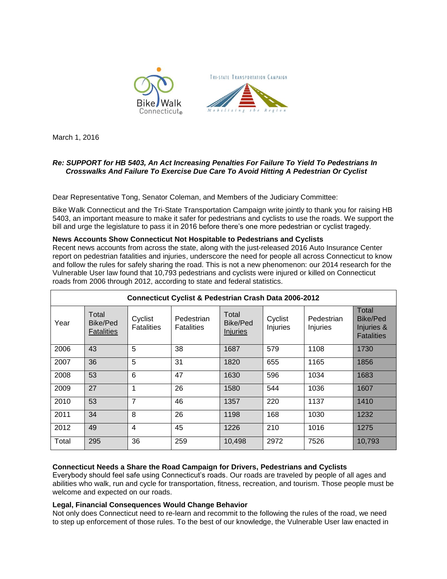



March 1, 2016

## *Re: SUPPORT for HB 5403, An Act Increasing Penalties For Failure To Yield To Pedestrians In Crosswalks And Failure To Exercise Due Care To Avoid Hitting A Pedestrian Or Cyclist*

Dear Representative Tong, Senator Coleman, and Members of the Judiciary Committee:

Bike Walk Connecticut and the Tri-State Transportation Campaign write jointly to thank you for raising HB 5403, an important measure to make it safer for pedestrians and cyclists to use the roads. We support the bill and urge the legislature to pass it in 2016 before there's one more pedestrian or cyclist tragedy.

### **News Accounts Show Connecticut Not Hospitable to Pedestrians and Cyclists**

Recent news accounts from across the state, along with the just-released 2016 Auto Insurance Center report on pedestrian fatalities and injuries, underscore the need for people all across Connecticut to know and follow the rules for safely sharing the road. This is not a new phenomenon: our 2014 research for the Vulnerable User law found that 10,793 pedestrians and cyclists were injured or killed on Connecticut roads from 2006 through 2012, according to state and federal statistics.

| <b>Connecticut Cyclist &amp; Pedestrian Crash Data 2006-2012</b> |                                               |                              |                                 |                                      |                     |                        |                                                      |
|------------------------------------------------------------------|-----------------------------------------------|------------------------------|---------------------------------|--------------------------------------|---------------------|------------------------|------------------------------------------------------|
| Year                                                             | Total<br><b>Bike/Ped</b><br><b>Fatalities</b> | Cyclist<br><b>Fatalities</b> | Pedestrian<br><b>Fatalities</b> | Total<br>Bike/Ped<br><b>Injuries</b> | Cyclist<br>Injuries | Pedestrian<br>Injuries | Total<br>Bike/Ped<br>Injuries &<br><b>Fatalities</b> |
| 2006                                                             | 43                                            | 5                            | 38                              | 1687                                 | 579                 | 1108                   | 1730                                                 |
| 2007                                                             | 36                                            | 5                            | 31                              | 1820                                 | 655                 | 1165                   | 1856                                                 |
| 2008                                                             | 53                                            | 6                            | 47                              | 1630                                 | 596                 | 1034                   | 1683                                                 |
| 2009                                                             | 27                                            | 1                            | 26                              | 1580                                 | 544                 | 1036                   | 1607                                                 |
| 2010                                                             | 53                                            | $\overline{7}$               | 46                              | 1357                                 | 220                 | 1137                   | 1410                                                 |
| 2011                                                             | 34                                            | 8                            | 26                              | 1198                                 | 168                 | 1030                   | 1232                                                 |
| 2012                                                             | 49                                            | 4                            | 45                              | 1226                                 | 210                 | 1016                   | 1275                                                 |
| Total                                                            | 295                                           | 36                           | 259                             | 10,498                               | 2972                | 7526                   | 10,793                                               |

## **Connecticut Needs a Share the Road Campaign for Drivers, Pedestrians and Cyclists**

Everybody should feel safe using Connecticut's roads. Our roads are traveled by people of all ages and abilities who walk, run and cycle for transportation, fitness, recreation, and tourism. Those people must be welcome and expected on our roads.

### **Legal, Financial Consequences Would Change Behavior**

Not only does Connecticut need to re-learn and recommit to the following the rules of the road, we need to step up enforcement of those rules. To the best of our knowledge, the Vulnerable User law enacted in